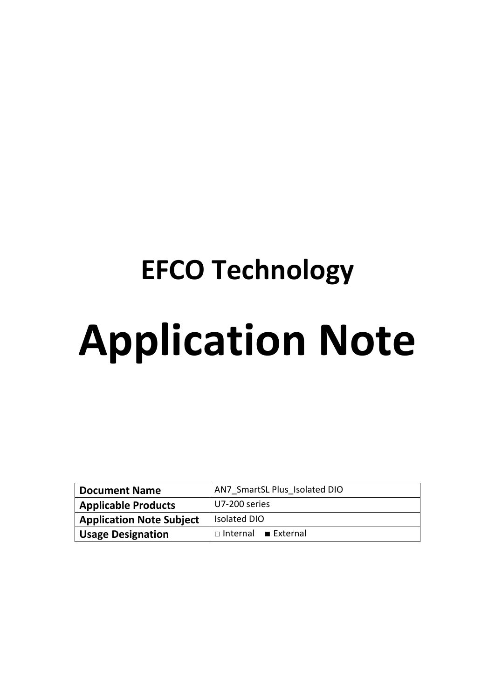# **EFCO Technology Application Note**

| <b>Document Name</b>            | AN7 SmartSL Plus Isolated DIO   |  |  |
|---------------------------------|---------------------------------|--|--|
| <b>Applicable Products</b>      | U7-200 series                   |  |  |
| <b>Application Note Subject</b> | <b>Isolated DIO</b>             |  |  |
| <b>Usage Designation</b>        | $\Box$ Internal <b>External</b> |  |  |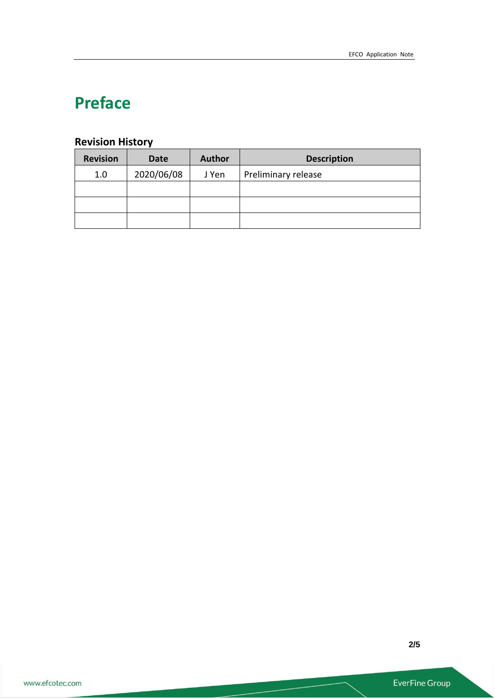# **Preface**

# **Revision History**

| <b>Revision</b> | <b>Date</b> | <b>Author</b> | <b>Description</b>  |  |
|-----------------|-------------|---------------|---------------------|--|
| 1.0             | 2020/06/08  | J Yen         | Preliminary release |  |
|                 |             |               |                     |  |
|                 |             |               |                     |  |
|                 |             |               |                     |  |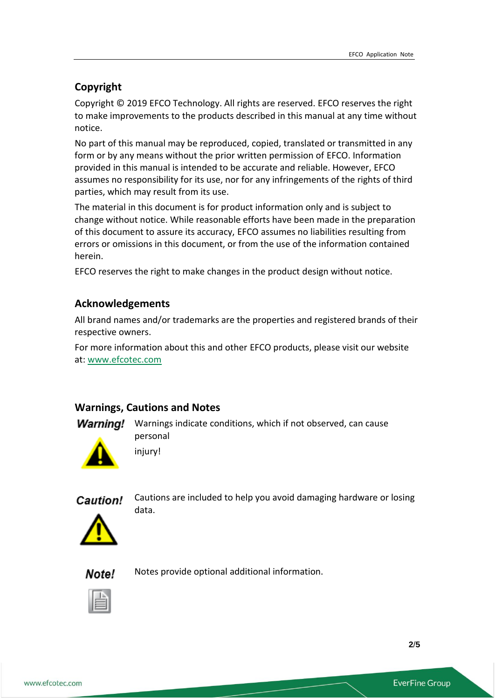# **Copyright**

Copyright © 2019 EFCO Technology. All rights are reserved. EFCO reserves the right to make improvements to the products described in this manual at any time without notice.

No part of this manual may be reproduced, copied, translated or transmitted in any form or by any means without the prior written permission of EFCO. Information provided in this manual is intended to be accurate and reliable. However, EFCO assumes no responsibility for its use, nor for any infringements of the rights of third parties, which may result from its use.

The material in this document is for product information only and is subject to change without notice. While reasonable efforts have been made in the preparation of this document to assure its accuracy, EFCO assumes no liabilities resulting from errors or omissions in this document, or from the use of the information contained herein.

EFCO reserves the right to make changes in the product design without notice.

## **Acknowledgements**

All brand names and/or trademarks are the properties and registered brands of their respective owners.

For more information about this and other EFCO products, please visit our website at: [www.efcotec.com](file:///C:/Users/PattyWu/Documents/Manual/DMCT/www.efcotec.com)

#### **Warnings, Cautions and Notes**

injury!

**Warning!** Warnings indicate conditions, which if not observed, can cause personal



Caution!

Cautions are included to help you avoid damaging hardware or losing data.



Note! Notes provide optional additional information.



**2**/**5**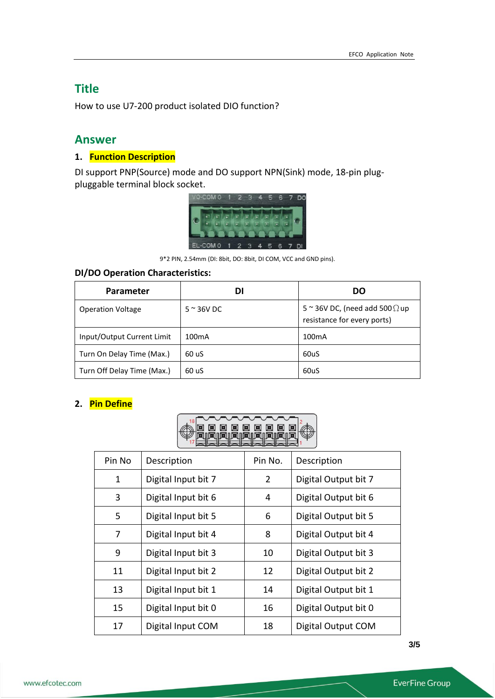# **Title**

How to use U7-200 product isolated DIO function?

# **Answer**

# **1. Function Description**

DI support PNP(Source) mode and DO support NPN(Sink) mode, 18-pin plugpluggable terminal block socket.



9\*2 PIN, 2.54mm (DI: 8bit, DO: 8bit, DI COM, VCC and GND pins).

### **DI/DO Operation Characteristics:**

| Parameter                  | DI                  | DO                                                                           |
|----------------------------|---------------------|------------------------------------------------------------------------------|
| <b>Operation Voltage</b>   | $5 \approx 36$ V DC | 5 $\approx$ 36V DC, (need add 500 $\Omega$ up<br>resistance for every ports) |
| Input/Output Current Limit | 100 <sub>m</sub> A  | 100 <sub>m</sub> A                                                           |
| Turn On Delay Time (Max.)  | 60 uS               | 60uS                                                                         |
| Turn Off Delay Time (Max.) | 60 uS               | 60uS                                                                         |

#### **2. Pin Define**



| Pin No | Description         | Pin No.        | Description          |
|--------|---------------------|----------------|----------------------|
| 1      | Digital Input bit 7 | $\overline{2}$ | Digital Output bit 7 |
| 3      | Digital Input bit 6 | 4              | Digital Output bit 6 |
| 5      | Digital Input bit 5 | 6              | Digital Output bit 5 |
| 7      | Digital Input bit 4 | 8              | Digital Output bit 4 |
| 9      | Digital Input bit 3 | 10             | Digital Output bit 3 |
| 11     | Digital Input bit 2 | 12             | Digital Output bit 2 |
| 13     | Digital Input bit 1 | 14             | Digital Output bit 1 |
| 15     | Digital Input bit 0 | 16             | Digital Output bit 0 |
| 17     | Digital Input COM   | 18             | Digital Output COM   |